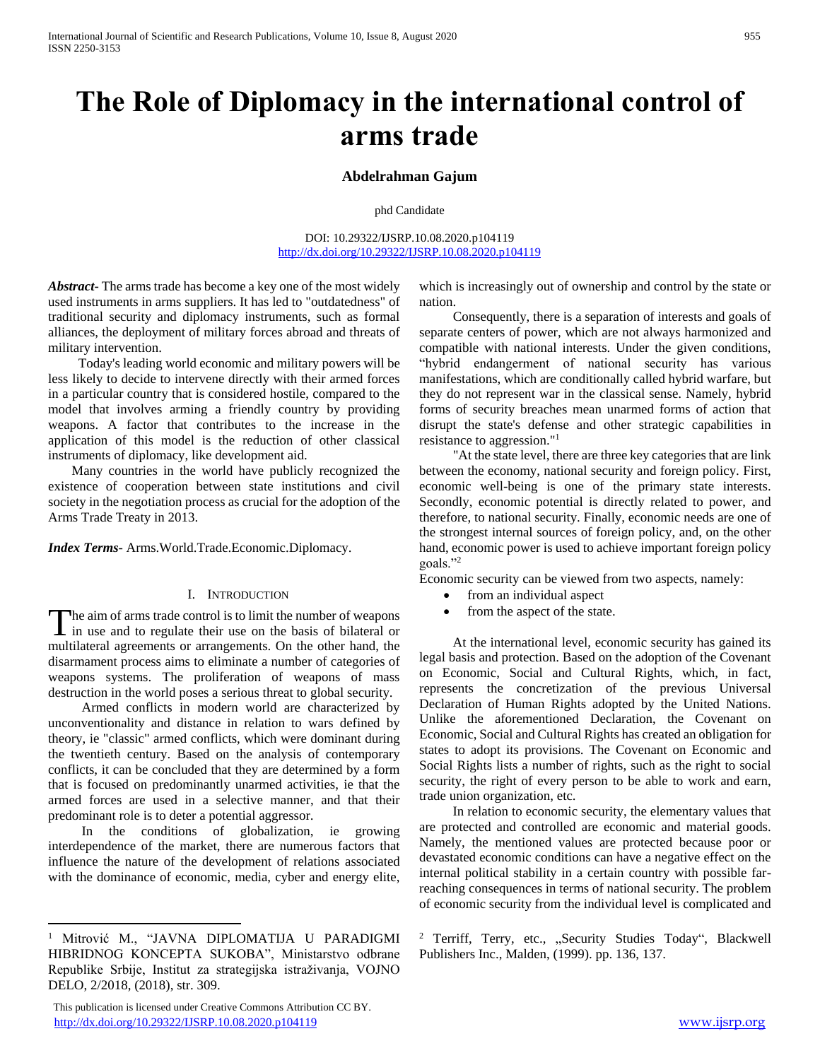## **The Role of Diplomacy in the international control of arms trade**

## **Abdelrahman Gajum**

phd Candidate

DOI: 10.29322/IJSRP.10.08.2020.p104119 <http://dx.doi.org/10.29322/IJSRP.10.08.2020.p104119>

*Abstract***-** The arms trade has become a key one of the most widely used instruments in arms suppliers. It has led to "outdatedness" of traditional security and diplomacy instruments, such as formal alliances, the deployment of military forces abroad and threats of military intervention.

 Today's leading world economic and military powers will be less likely to decide to intervene directly with their armed forces in a particular country that is considered hostile, compared to the model that involves arming a friendly country by providing weapons. A factor that contributes to the increase in the application of this model is the reduction of other classical instruments of diplomacy, like development aid.

 Many countries in the world have publicly recognized the existence of cooperation between state institutions and civil society in the negotiation process as crucial for the adoption of the Arms Trade Treaty in 2013.

*Index Terms*- Arms.World.Trade.Economic.Diplomacy.

## I. INTRODUCTION

he aim of arms trade control is to limit the number of weapons The aim of arms trade control is to limit the number of weapons<br>in use and to regulate their use on the basis of bilateral or multilateral agreements or arrangements. On the other hand, the disarmament process aims to eliminate a number of categories of weapons systems. The proliferation of weapons of mass destruction in the world poses a serious threat to global security.

 Armed conflicts in modern world are characterized by unconventionality and distance in relation to wars defined by theory, ie "classic" armed conflicts, which were dominant during the twentieth century. Based on the analysis of contemporary conflicts, it can be concluded that they are determined by a form that is focused on predominantly unarmed activities, ie that the armed forces are used in a selective manner, and that their predominant role is to deter a potential aggressor.

 In the conditions of globalization, ie growing interdependence of the market, there are numerous factors that influence the nature of the development of relations associated with the dominance of economic, media, cyber and energy elite,

 $\overline{a}$ 

 This publication is licensed under Creative Commons Attribution CC BY. <http://dx.doi.org/10.29322/IJSRP.10.08.2020.p104119> [www.ijsrp.org](http://ijsrp.org/)

which is increasingly out of ownership and control by the state or nation.

 Consequently, there is a separation of interests and goals of separate centers of power, which are not always harmonized and compatible with national interests. Under the given conditions, "hybrid endangerment of national security has various manifestations, which are conditionally called hybrid warfare, but they do not represent war in the classical sense. Namely, hybrid forms of security breaches mean unarmed forms of action that disrupt the state's defense and other strategic capabilities in resistance to aggression."<sup>1</sup>

 "At the state level, there are three key categories that are link between the economy, national security and foreign policy. First, economic well-being is one of the primary state interests. Secondly, economic potential is directly related to power, and therefore, to national security. Finally, economic needs are one of the strongest internal sources of foreign policy, and, on the other hand, economic power is used to achieve important foreign policy goals."<sup>2</sup>

Economic security can be viewed from two aspects, namely:

- from an individual aspect
- from the aspect of the state.

 At the international level, economic security has gained its legal basis and protection. Based on the adoption of the Covenant on Economic, Social and Cultural Rights, which, in fact, represents the concretization of the previous Universal Declaration of Human Rights adopted by the United Nations. Unlike the aforementioned Declaration, the Covenant on Economic, Social and Cultural Rights has created an obligation for states to adopt its provisions. The Covenant on Economic and Social Rights lists a number of rights, such as the right to social security, the right of every person to be able to work and earn, trade union organization, etc.

 In relation to economic security, the elementary values that are protected and controlled are economic and material goods. Namely, the mentioned values are protected because poor or devastated economic conditions can have a negative effect on the internal political stability in a certain country with possible farreaching consequences in terms of national security. The problem of economic security from the individual level is complicated and

<sup>2</sup> Terriff, Terry, etc., "Security Studies Today", Blackwell Publishers Inc., Malden, (1999). pp. 136, 137.

<sup>1</sup> Mitrović M., "JAVNA DIPLOMATIJA U PARADIGMI HIBRIDNOG KONCEPTA SUKOBA", Ministarstvo odbrane Republike Srbije, Institut za strategijska istraživanja, VOJNO DELO, 2/2018, (2018), str. 309.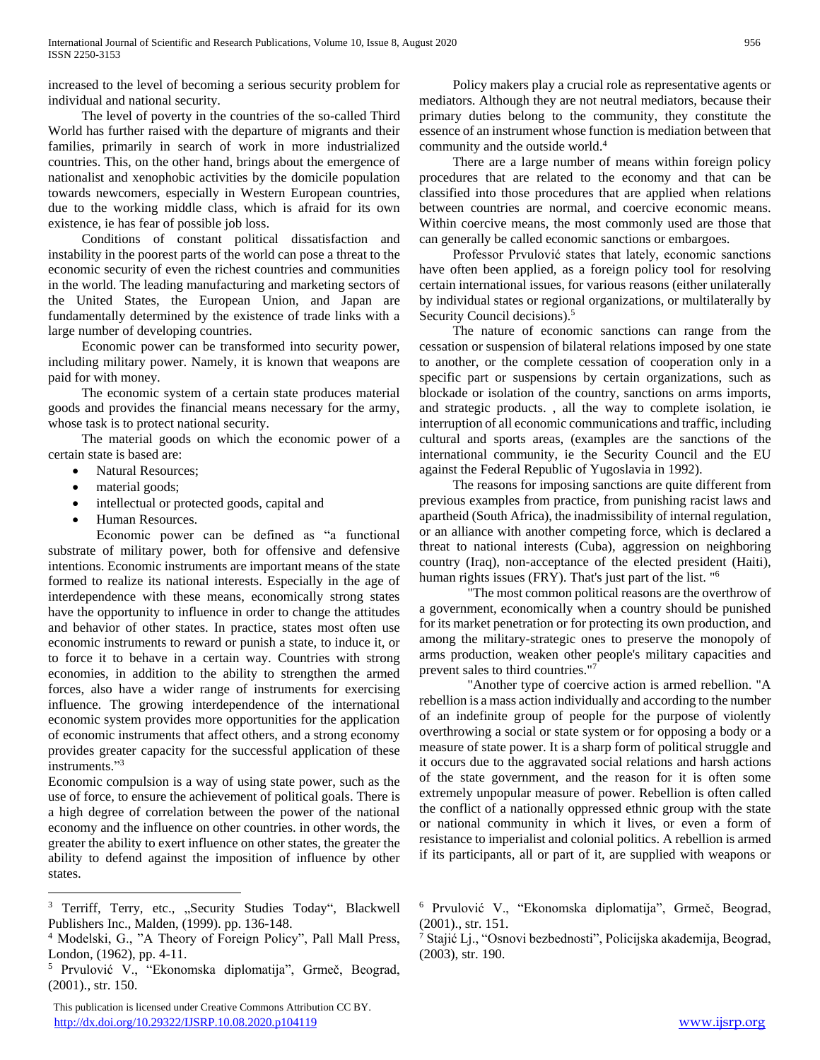increased to the level of becoming a serious security problem for individual and national security.

 The level of poverty in the countries of the so-called Third World has further raised with the departure of migrants and their families, primarily in search of work in more industrialized countries. This, on the other hand, brings about the emergence of nationalist and xenophobic activities by the domicile population towards newcomers, especially in Western European countries, due to the working middle class, which is afraid for its own existence, ie has fear of possible job loss.

 Conditions of constant political dissatisfaction and instability in the poorest parts of the world can pose a threat to the economic security of even the richest countries and communities in the world. The leading manufacturing and marketing sectors of the United States, the European Union, and Japan are fundamentally determined by the existence of trade links with a large number of developing countries.

 Economic power can be transformed into security power, including military power. Namely, it is known that weapons are paid for with money.

 The economic system of a certain state produces material goods and provides the financial means necessary for the army, whose task is to protect national security.

 The material goods on which the economic power of a certain state is based are:

- Natural Resources;
- material goods;

 $\overline{a}$ 

- intellectual or protected goods, capital and
- Human Resources.

Economic power can be defined as "a functional substrate of military power, both for offensive and defensive intentions. Economic instruments are important means of the state formed to realize its national interests. Especially in the age of interdependence with these means, economically strong states have the opportunity to influence in order to change the attitudes and behavior of other states. In practice, states most often use economic instruments to reward or punish a state, to induce it, or to force it to behave in a certain way. Countries with strong economies, in addition to the ability to strengthen the armed forces, also have a wider range of instruments for exercising influence. The growing interdependence of the international economic system provides more opportunities for the application of economic instruments that affect others, and a strong economy provides greater capacity for the successful application of these instruments." 3

Economic compulsion is a way of using state power, such as the use of force, to ensure the achievement of political goals. There is a high degree of correlation between the power of the national economy and the influence on other countries. in other words, the greater the ability to exert influence on other states, the greater the ability to defend against the imposition of influence by other states.

 Policy makers play a crucial role as representative agents or mediators. Although they are not neutral mediators, because their primary duties belong to the community, they constitute the essence of an instrument whose function is mediation between that community and the outside world.<sup>4</sup>

 There are a large number of means within foreign policy procedures that are related to the economy and that can be classified into those procedures that are applied when relations between countries are normal, and coercive economic means. Within coercive means, the most commonly used are those that can generally be called economic sanctions or embargoes.

 Professor Prvulović states that lately, economic sanctions have often been applied, as a foreign policy tool for resolving certain international issues, for various reasons (either unilaterally by individual states or regional organizations, or multilaterally by Security Council decisions).<sup>5</sup>

 The nature of economic sanctions can range from the cessation or suspension of bilateral relations imposed by one state to another, or the complete cessation of cooperation only in a specific part or suspensions by certain organizations, such as blockade or isolation of the country, sanctions on arms imports, and strategic products. , all the way to complete isolation, ie interruption of all economic communications and traffic, including cultural and sports areas, (examples are the sanctions of the international community, ie the Security Council and the EU against the Federal Republic of Yugoslavia in 1992).

 The reasons for imposing sanctions are quite different from previous examples from practice, from punishing racist laws and apartheid (South Africa), the inadmissibility of internal regulation, or an alliance with another competing force, which is declared a threat to national interests (Cuba), aggression on neighboring country (Iraq), non-acceptance of the elected president (Haiti), human rights issues (FRY). That's just part of the list. "<sup>6</sup>

"The most common political reasons are the overthrow of a government, economically when a country should be punished for its market penetration or for protecting its own production, and among the military-strategic ones to preserve the monopoly of arms production, weaken other people's military capacities and prevent sales to third countries."<sup>7</sup>

"Another type of coercive action is armed rebellion. "A rebellion is a mass action individually and according to the number of an indefinite group of people for the purpose of violently overthrowing a social or state system or for opposing a body or a measure of state power. It is a sharp form of political struggle and it occurs due to the aggravated social relations and harsh actions of the state government, and the reason for it is often some extremely unpopular measure of power. Rebellion is often called the conflict of a nationally oppressed ethnic group with the state or national community in which it lives, or even a form of resistance to imperialist and colonial politics. A rebellion is armed if its participants, all or part of it, are supplied with weapons or

<sup>&</sup>lt;sup>3</sup> Terriff, Terry, etc., "Security Studies Today", Blackwell Publishers Inc., Malden, (1999). pp. 136-148.

<sup>4</sup> Modelski, G., "A Theory of Foreign Policy", Pall Mall Press, London, (1962), pp. 4-11.

<sup>5</sup> Prvulović V., "Ekonomska diplomatija", Grmeč, Beograd, (2001)., str. 150.

This publication is licensed under Creative Commons Attribution CC BY. <http://dx.doi.org/10.29322/IJSRP.10.08.2020.p104119> [www.ijsrp.org](http://ijsrp.org/)

<sup>6</sup> Prvulović V., "Ekonomska diplomatija", Grmeč, Beograd, (2001)., str. 151.

<sup>7</sup> Stajić Lj., "Osnovi bezbednosti", Policijska akademija, Beograd, (2003), str. 190.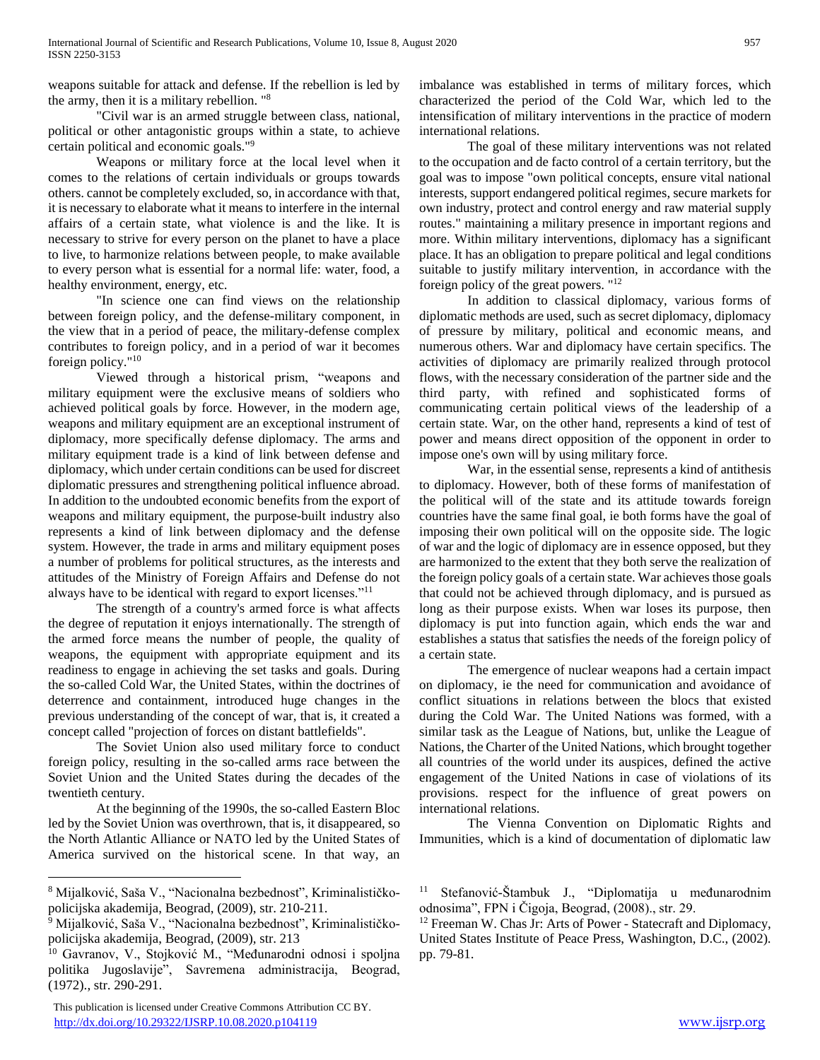weapons suitable for attack and defense. If the rebellion is led by the army, then it is a military rebellion. "<sup>8</sup>

"Civil war is an armed struggle between class, national, political or other antagonistic groups within a state, to achieve certain political and economic goals."<sup>9</sup>

Weapons or military force at the local level when it comes to the relations of certain individuals or groups towards others. cannot be completely excluded, so, in accordance with that, it is necessary to elaborate what it means to interfere in the internal affairs of a certain state, what violence is and the like. It is necessary to strive for every person on the planet to have a place to live, to harmonize relations between people, to make available to every person what is essential for a normal life: water, food, a healthy environment, energy, etc.

"In science one can find views on the relationship between foreign policy, and the defense-military component, in the view that in a period of peace, the military-defense complex contributes to foreign policy, and in a period of war it becomes foreign policy."<sup>10</sup>

Viewed through a historical prism, "weapons and military equipment were the exclusive means of soldiers who achieved political goals by force. However, in the modern age, weapons and military equipment are an exceptional instrument of diplomacy, more specifically defense diplomacy. The arms and military equipment trade is a kind of link between defense and diplomacy, which under certain conditions can be used for discreet diplomatic pressures and strengthening political influence abroad. In addition to the undoubted economic benefits from the export of weapons and military equipment, the purpose-built industry also represents a kind of link between diplomacy and the defense system. However, the trade in arms and military equipment poses a number of problems for political structures, as the interests and attitudes of the Ministry of Foreign Affairs and Defense do not always have to be identical with regard to export licenses."<sup>11</sup>

The strength of a country's armed force is what affects the degree of reputation it enjoys internationally. The strength of the armed force means the number of people, the quality of weapons, the equipment with appropriate equipment and its readiness to engage in achieving the set tasks and goals. During the so-called Cold War, the United States, within the doctrines of deterrence and containment, introduced huge changes in the previous understanding of the concept of war, that is, it created a concept called "projection of forces on distant battlefields".

The Soviet Union also used military force to conduct foreign policy, resulting in the so-called arms race between the Soviet Union and the United States during the decades of the twentieth century.

At the beginning of the 1990s, the so-called Eastern Bloc led by the Soviet Union was overthrown, that is, it disappeared, so the North Atlantic Alliance or NATO led by the United States of America survived on the historical scene. In that way, an

 $\overline{a}$ 

imbalance was established in terms of military forces, which characterized the period of the Cold War, which led to the intensification of military interventions in the practice of modern international relations.

The goal of these military interventions was not related to the occupation and de facto control of a certain territory, but the goal was to impose "own political concepts, ensure vital national interests, support endangered political regimes, secure markets for own industry, protect and control energy and raw material supply routes." maintaining a military presence in important regions and more. Within military interventions, diplomacy has a significant place. It has an obligation to prepare political and legal conditions suitable to justify military intervention, in accordance with the foreign policy of the great powers. "<sup>12</sup>

In addition to classical diplomacy, various forms of diplomatic methods are used, such as secret diplomacy, diplomacy of pressure by military, political and economic means, and numerous others. War and diplomacy have certain specifics. The activities of diplomacy are primarily realized through protocol flows, with the necessary consideration of the partner side and the third party, with refined and sophisticated forms of communicating certain political views of the leadership of a certain state. War, on the other hand, represents a kind of test of power and means direct opposition of the opponent in order to impose one's own will by using military force.

War, in the essential sense, represents a kind of antithesis to diplomacy. However, both of these forms of manifestation of the political will of the state and its attitude towards foreign countries have the same final goal, ie both forms have the goal of imposing their own political will on the opposite side. The logic of war and the logic of diplomacy are in essence opposed, but they are harmonized to the extent that they both serve the realization of the foreign policy goals of a certain state. War achieves those goals that could not be achieved through diplomacy, and is pursued as long as their purpose exists. When war loses its purpose, then diplomacy is put into function again, which ends the war and establishes a status that satisfies the needs of the foreign policy of a certain state.

The emergence of nuclear weapons had a certain impact on diplomacy, ie the need for communication and avoidance of conflict situations in relations between the blocs that existed during the Cold War. The United Nations was formed, with a similar task as the League of Nations, but, unlike the League of Nations, the Charter of the United Nations, which brought together all countries of the world under its auspices, defined the active engagement of the United Nations in case of violations of its provisions. respect for the influence of great powers on international relations.

The Vienna Convention on Diplomatic Rights and Immunities, which is a kind of documentation of diplomatic law

<sup>8</sup> Mijalković, Saša V., "Nacionalna bezbednost", Kriminalističkopolicijska akademija, Beograd, (2009), str. 210-211.

<sup>9</sup> Mijalković, Saša V., "Nacionalna bezbednost", Kriminalističkopolicijska akademija, Beograd, (2009), str. 213

<sup>&</sup>lt;sup>10</sup> Gavranov, V., Stojković M., "Međunarodni odnosi i spoljna politika Jugoslavije", Savremena administracija, Beograd, (1972)., str. 290-291.

<sup>11</sup> Stefanović-Štambuk J., "Diplomatija u međunarodnim odnosima", FPN i Čigoja, Beograd, (2008)., str. 29.

<sup>&</sup>lt;sup>12</sup> Freeman W. Chas Jr: Arts of Power - Statecraft and Diplomacy, United States Institute of Peace Press, Washington, D.C., (2002). pp. 79-81.